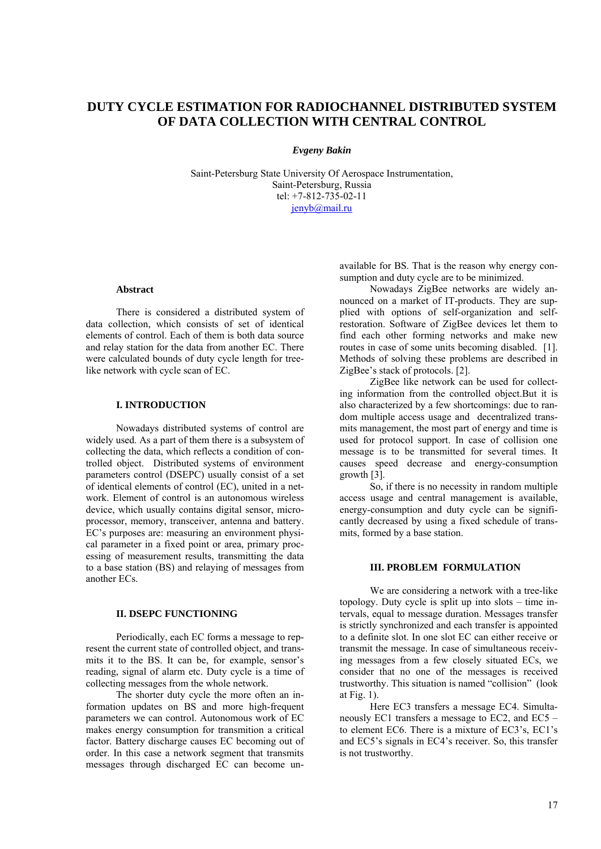# **DUTY CYCLE ESTIMATION FOR RADIOCHANNEL DISTRIBUTED SYSTEM OF DATA COLLECTION WITH CENTRAL CONTROL**

### *Evgeny Bakin*

Saint-Petersburg State University Of Aerospace Instrumentation, Saint-Petersburg, Russia tel: +7-812-735-02-11 [jenyb@mail.ru](mailto:jenyb@mail.ru)

#### **Abstract**

There is considered a distributed system of data collection, which consists of set of identical elements of control. Each of them is both data source and relay station for the data from another EC. There were calculated bounds of duty cycle length for treelike network with cycle scan of EC.

# **I. INTRODUCTION**

Nowadays distributed systems of control are widely used. As a part of them there is a subsystem of collecting the data, which reflects a condition of controlled object. Distributed systems of environment parameters control (DSEPC) usually consist of a set of identical elements of control (EC), united in a network. Element of control is an autonomous wireless device, which usually contains digital sensor, microprocessor, memory, transceiver, antenna and battery. EC's purposes are: measuring an environment physical parameter in a fixed point or area, primary processing of measurement results, transmitting the data to a base station (BS) and relaying of messages from another ECs.

#### **II. DSEPC FUNCTIONING**

Periodically, each EC forms a message to represent the current state of controlled object, and transmits it to the BS. It can be, for example, sensor's reading, signal of alarm etc. Duty cycle is a time of collecting messages from the whole network.

The shorter duty cycle the more often an information updates on BS and more high-frequent parameters we can control. Autonomous work of EC makes energy consumption for transmition a critical factor. Battery discharge causes EC becoming out of order. In this case a network segment that transmits messages through discharged EC can become un-

available for BS. That is the reason why energy consumption and duty cycle are to be minimized.

Nowadays ZigBee networks are widely announced on a market of IT-products. They are supplied with options of self-organization and selfrestoration. Software of ZigBee devices let them to find each other forming networks and make new routes in case of some units becoming disabled. [1]. Methods of solving these problems are described in ZigBee's stack of protocols. [2].

ZigBee like network can be used for collecting information from the controlled object.But it is also characterized by a few shortcomings: due to random multiple access usage and decentralized transmits management, the most part of energy and time is used for protocol support. In case of collision one message is to be transmitted for several times. It causes speed decrease and energy-consumption growth [3].

So, if there is no necessity in random multiple access usage and central management is available, energy-consumption and duty cycle can be significantly decreased by using a fixed schedule of transmits, formed by a base station.

### **III. PROBLEM FORMULATION**

We are considering a network with a tree-like topology. Duty cycle is split up into slots – time intervals, equal to message duration. Messages transfer is strictly synchronized and each transfer is appointed to a definite slot. In one slot EC can either receive or transmit the message. In case of simultaneous receiving messages from a few closely situated ECs, we consider that no one of the messages is received trustworthy. This situation is named "collision" (look at Fig. 1).

Here EC3 transfers a message EC4. Simultaneously EC1 transfers a message to EC2, and EC5 – to element EC6. There is a mixture of EC3's, EC1's and EC5's signals in EC4's receiver. So, this transfer is not trustworthy.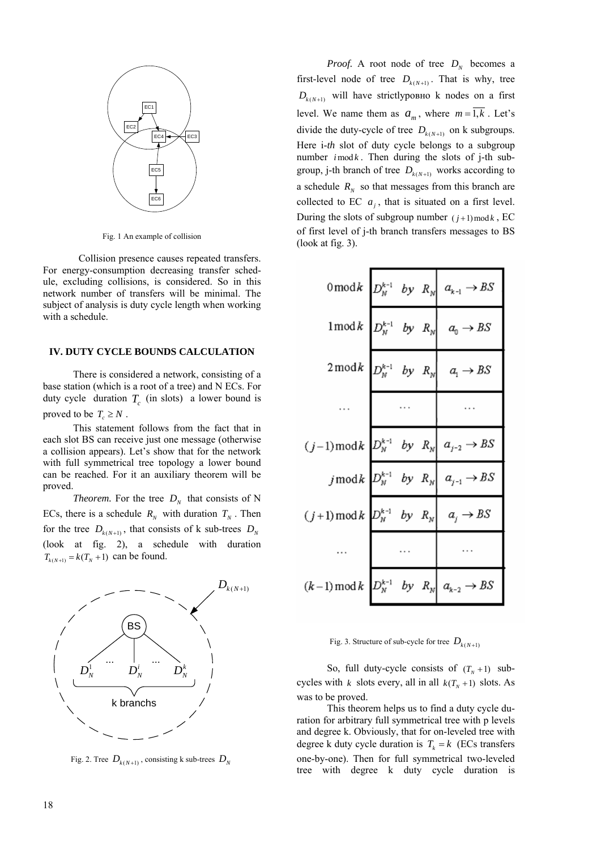

Fig. 1 An example of collision

Collision presence causes repeated transfers. For energy-consumption decreasing transfer schedule, excluding collisions, is considered. So in this network number of transfers will be minimal. The subject of analysis is duty cycle length when working with a schedule.

## **IV. DUTY CYCLE BOUNDS CALCULATION**

There is considered a network, consisting of a base station (which is a root of a tree) and N ECs. For duty cycle duration  $T_c$  (in slots) a lower bound is proved to be  $T_c \geq N$ .

This statement follows from the fact that in each slot BS can receive just one message (otherwise a collision appears). Let's show that for the network with full symmetrical tree topology a lower bound can be reached. For it an auxiliary theorem will be proved.

*Theorem.* For the tree  $D_N$  that consists of N ECs, there is a schedule  $R_N$  with duration  $T_N$ . Then for the tree  $D_{k(N+1)}$ , that consists of k sub-trees  $D_N$ (look at fig. 2), a schedule with duration  $T_{k(N+1)} = k(T_N + 1)$  can be found.



Fig. 2. Tree  $D_{k(N+1)}$ , consisting k sub-trees  $D_N$ 

*Proof.* A root node of tree  $D_N$  becomes a first-level node of tree  $D_{k(N+1)}$ . That is why, tree  $D_{k(N+1)}$  will have strictly pouse b nodes on a first level. We name them as  $a_m$ , where  $m = \overline{1,k}$ . Let's number  $i \mod k$ . Then during the slots of j-th subdivide the duty-cycle of tree  $D_{k(N+1)}$  on k subgroups. Here i-*th* slot of duty cycle belongs to a subgroup group, j-th branch of tree  $D_{k(N+1)}$  works according to a schedule  $R_N$  so that messages from this branch are collected to EC  $a_j$ , that is situated on a first level. During the slots of subgroup number  $(j+1) \mod k$ , EC of first level of j-th branch transfers messages to BS (look at fig. 3).

|                                                                                                   |          | $0 \bmod k$ $D_N^{k-1}$ by $R_N$ $a_{k-1} \rightarrow BS$ |
|---------------------------------------------------------------------------------------------------|----------|-----------------------------------------------------------|
|                                                                                                   |          | $1 \bmod k$ $D_N^{k-1}$ by $R_N$ $a_0 \rightarrow BS$     |
|                                                                                                   |          | $2 \bmod k$ $D_N^{k-1}$ by $R_N$ $a_1 \rightarrow BS$     |
|                                                                                                   | $\cdots$ |                                                           |
| $(j-1) \bmod k$ $D_N^{k-1}$ by $R_N$ $a_{j-2} \rightarrow BS$                                     |          |                                                           |
|                                                                                                   |          | j mod k $D_N^{k-1}$ by $R_N \mid a_{j-1} \rightarrow BS$  |
| $(j+1) \bmod k$ $D_N^{k-1}$ by $R_N$ $\begin{array}{ c c } \hline a_j \rightarrow BS \end{array}$ |          |                                                           |
|                                                                                                   |          |                                                           |
| $(k-1) \bmod k$ $D_N^{k-1}$ by $R_N$ $a_{k-2} \rightarrow BS$                                     |          |                                                           |

# Fig. 3. Structure of sub-cycle for tree  $D_{k(N+1)}$

So, full duty-cycle consists of  $(T_N + 1)$  subcycles with *k* slots every, all in all  $k(T_N + 1)$  slots. As was to be proved.

This theorem helps us to find a duty cycle duration for arbitrary full symmetrical tree with p levels and degree k. Obviously, that for on-leveled tree with degree k duty cycle duration is  $T_k = k$  (ECs transfers one-by-one). Then for full symmetrical two-leveled tree with degree k duty cycle duration is